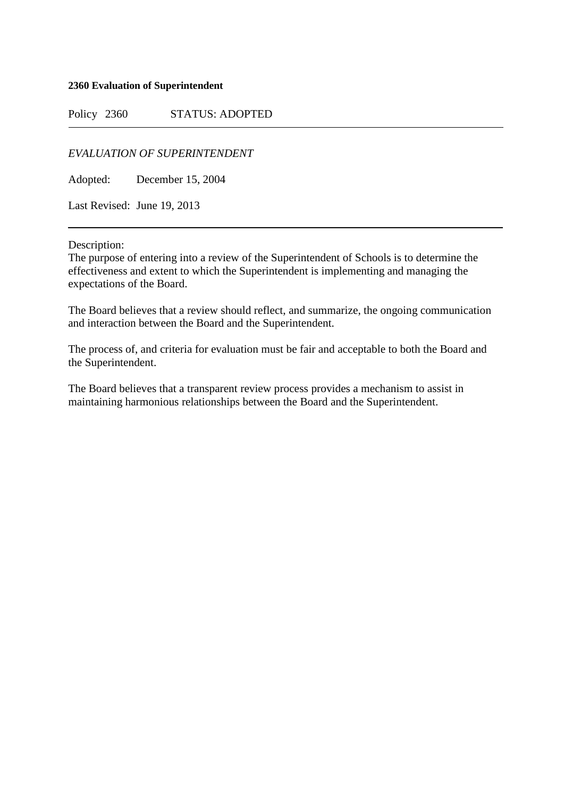## **2360 Evaluation of Superintendent**

Policy 2360 STATUS: ADOPTED

*EVALUATION OF SUPERINTENDENT*

Adopted: December 15, 2004

Last Revised: June 19, 2013

Description:

The purpose of entering into a review of the Superintendent of Schools is to determine the effectiveness and extent to which the Superintendent is implementing and managing the expectations of the Board.

The Board believes that a review should reflect, and summarize, the ongoing communication and interaction between the Board and the Superintendent.

The process of, and criteria for evaluation must be fair and acceptable to both the Board and the Superintendent.

The Board believes that a transparent review process provides a mechanism to assist in maintaining harmonious relationships between the Board and the Superintendent.